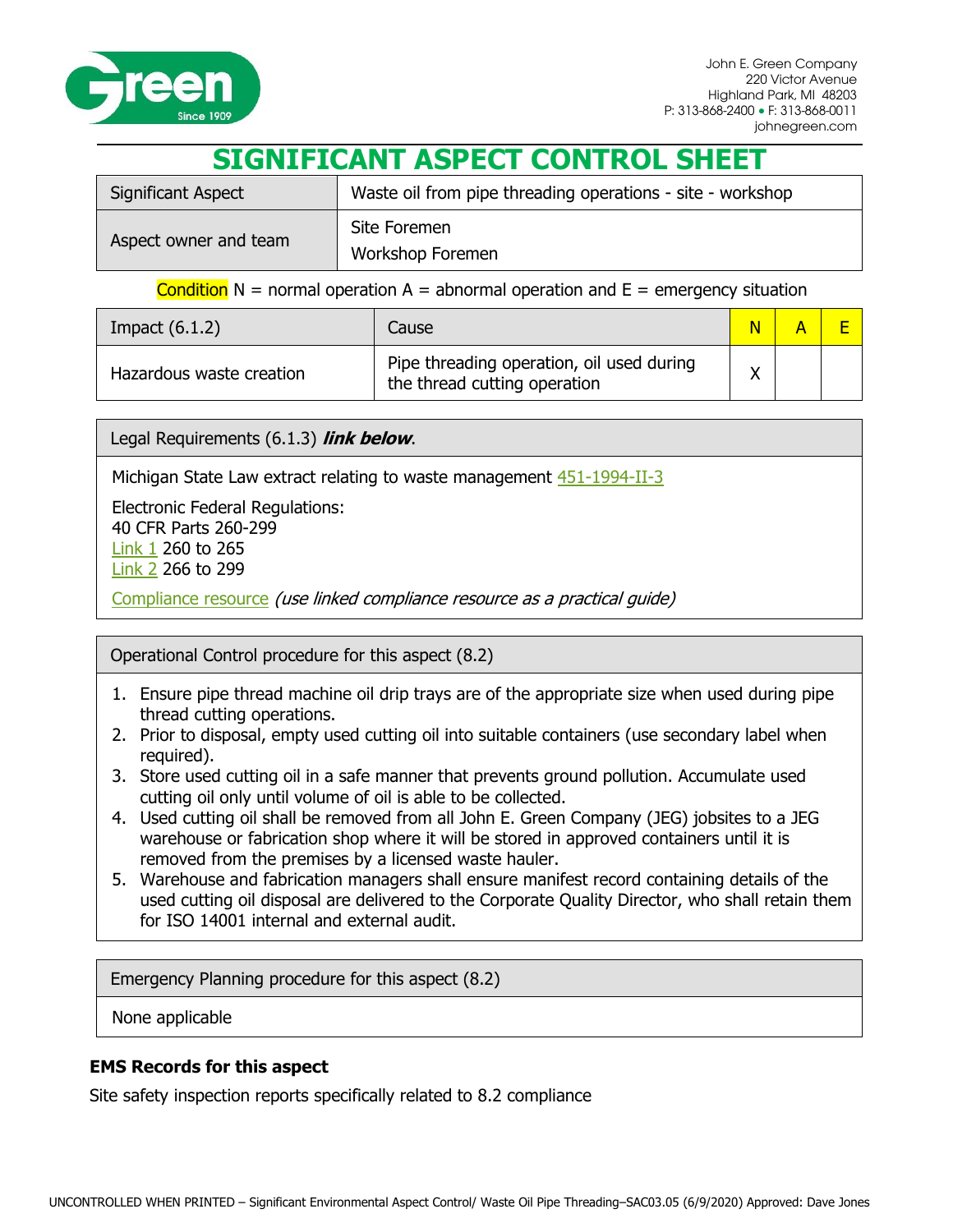

## **SIGNIFICANT ASPECT CONTROL SHEET**

| <b>Significant Aspect</b> | Waste oil from pipe threading operations - site - workshop |  |  |
|---------------------------|------------------------------------------------------------|--|--|
| Aspect owner and team     | Site Foremen<br>Workshop Foremen                           |  |  |

## Condition  $N =$  normal operation  $A =$  abnormal operation and  $E =$  emergency situation

| Impact $(6.1.2)$         | Cause                                                                     |  |  |
|--------------------------|---------------------------------------------------------------------------|--|--|
| Hazardous waste creation | Pipe threading operation, oil used during<br>the thread cutting operation |  |  |

Legal Requirements (6.1.3) **link below**.

Michigan State Law extract relating to waste management [451-1994-II-3](http://www.legislature.mi.gov/(S(b2zc00jhkftl0i45rcqxxqyf))/mileg.aspx?page=getObject&objectName=mcl-451-1994-II-3)

Electronic Federal Regulations: 40 CFR Parts 260-299 [Link 1](http://www.ecfr.gov/cgi-bin/text-idx?SID=bd10d128de79b4d6ff13d27f43ab05ac&c=ecfr&tpl=/ecfrbrowse/Title40/40cfrv27_02.tpl) 260 to 265 [Link 2](http://www.ecfr.gov/cgi-bin/text-idx?SID=bd10d128de79b4d6ff13d27f43ab05ac&c=ecfr&tpl=/ecfrbrowse/Title40/40cfrv28_02.tpl) 266 to 299

[Compliance resource](http://www.epa.gov/compliance/resources/publications/assistance/sectors/constructmyer/) (use linked compliance resource as a practical guide)

## Operational Control procedure for this aspect (8.2)

- 1. Ensure pipe thread machine oil drip trays are of the appropriate size when used during pipe thread cutting operations.
- 2. Prior to disposal, empty used cutting oil into suitable containers (use secondary label when required).
- 3. Store used cutting oil in a safe manner that prevents ground pollution. Accumulate used cutting oil only until volume of oil is able to be collected.
- 4. Used cutting oil shall be removed from all John E. Green Company (JEG) jobsites to a JEG warehouse or fabrication shop where it will be stored in approved containers until it is removed from the premises by a licensed waste hauler.
- 5. Warehouse and fabrication managers shall ensure manifest record containing details of the used cutting oil disposal are delivered to the Corporate Quality Director, who shall retain them for ISO 14001 internal and external audit.

Emergency Planning procedure for this aspect (8.2)

None applicable

## **EMS Records for this aspect**

Site safety inspection reports specifically related to 8.2 compliance